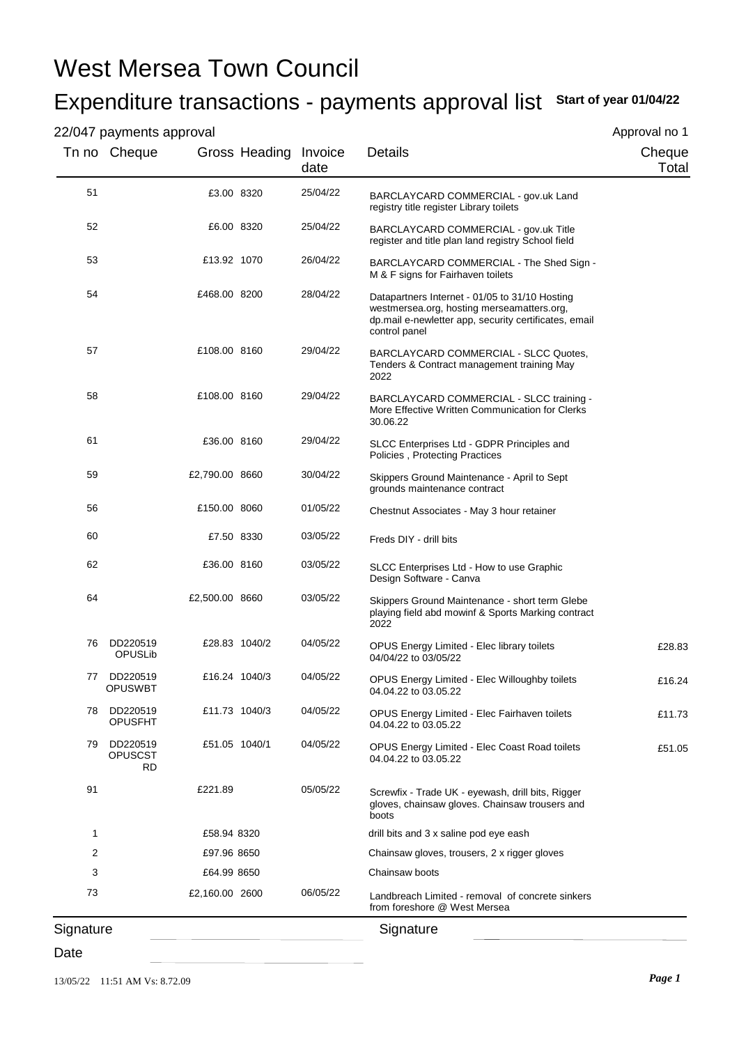# West Mersea Town Council

## Expenditure transactions - payments approval list **Start of year 01/04/22**

### 22/047 payments approval

Approval no 1

| 220<br>Tn no Cheque              |                | Gross Heading Invoice | date     | Details                                                                                                                                                                | Cheque<br>Total |
|----------------------------------|----------------|-----------------------|----------|------------------------------------------------------------------------------------------------------------------------------------------------------------------------|-----------------|
| 51                               | £3.00 8320     |                       | 25/04/22 | BARCLAYCARD COMMERCIAL - gov.uk Land<br>registry title register Library toilets                                                                                        |                 |
| 52                               | £6.00 8320     |                       | 25/04/22 | BARCLAYCARD COMMERCIAL - gov.uk Title<br>register and title plan land registry School field                                                                            |                 |
| 53                               | £13.92 1070    |                       | 26/04/22 | BARCLAYCARD COMMERCIAL - The Shed Sign -<br>M & F signs for Fairhaven toilets                                                                                          |                 |
| 54                               | £468.00 8200   |                       | 28/04/22 | Datapartners Internet - 01/05 to 31/10 Hosting<br>westmersea.org, hosting merseamatters.org,<br>dp.mail e-newletter app, security certificates, email<br>control panel |                 |
| 57                               | £108.00 8160   |                       | 29/04/22 | BARCLAYCARD COMMERCIAL - SLCC Quotes,<br>Tenders & Contract management training May<br>2022                                                                            |                 |
| 58                               | £108.00 8160   |                       | 29/04/22 | BARCLAYCARD COMMERCIAL - SLCC training -<br>More Effective Written Communication for Clerks<br>30.06.22                                                                |                 |
| 61                               | £36.00 8160    |                       | 29/04/22 | SLCC Enterprises Ltd - GDPR Principles and<br>Policies, Protecting Practices                                                                                           |                 |
| 59                               | £2,790.00 8660 |                       | 30/04/22 | Skippers Ground Maintenance - April to Sept<br>grounds maintenance contract                                                                                            |                 |
| 56                               | £150.00 8060   |                       | 01/05/22 | Chestnut Associates - May 3 hour retainer                                                                                                                              |                 |
| 60                               | £7.50 8330     |                       | 03/05/22 | Freds DIY - drill bits                                                                                                                                                 |                 |
| 62                               | £36.00 8160    |                       | 03/05/22 | SLCC Enterprises Ltd - How to use Graphic<br>Design Software - Canva                                                                                                   |                 |
| 64                               | £2,500.00 8660 |                       | 03/05/22 | Skippers Ground Maintenance - short term Glebe<br>playing field abd mowinf & Sports Marking contract<br>2022                                                           |                 |
| DD220519<br>76<br>OPUSLib        |                | £28.83 1040/2         | 04/05/22 | OPUS Energy Limited - Elec library toilets<br>04/04/22 to 03/05/22                                                                                                     | £28.83          |
| DD220519<br>77<br><b>OPUSWBT</b> |                | £16.24 1040/3         | 04/05/22 | <b>OPUS Energy Limited - Elec Willoughby toilets</b><br>04.04.22 to 03.05.22                                                                                           | £16.24          |
| DD220519<br>78<br><b>OPUSFHT</b> |                | £11.73 1040/3         | 04/05/22 | OPUS Energy Limited - Elec Fairhaven toilets<br>04.04.22 to 03.05.22                                                                                                   | £11.73          |
| DD220519<br>79<br>OPUSCST<br>RD  | £51.05 1040/1  |                       | 04/05/22 | <b>OPUS Energy Limited - Elec Coast Road toilets</b><br>04.04.22 to 03.05.22                                                                                           | £51.05          |
| 91                               | £221.89        |                       | 05/05/22 | Screwfix - Trade UK - eyewash, drill bits, Rigger<br>gloves, chainsaw gloves. Chainsaw trousers and<br>boots                                                           |                 |
| 1                                | £58.94 8320    |                       |          | drill bits and 3 x saline pod eye eash                                                                                                                                 |                 |
| 2                                | £97.96 8650    |                       |          | Chainsaw gloves, trousers, 2 x rigger gloves                                                                                                                           |                 |
| 3                                | £64.99 8650    |                       |          | Chainsaw boots                                                                                                                                                         |                 |
| 73                               | £2,160.00 2600 |                       | 06/05/22 | Landbreach Limited - removal of concrete sinkers<br>from foreshore @ West Mersea                                                                                       |                 |
| Signature                        |                |                       |          | Signature                                                                                                                                                              |                 |

#### Date